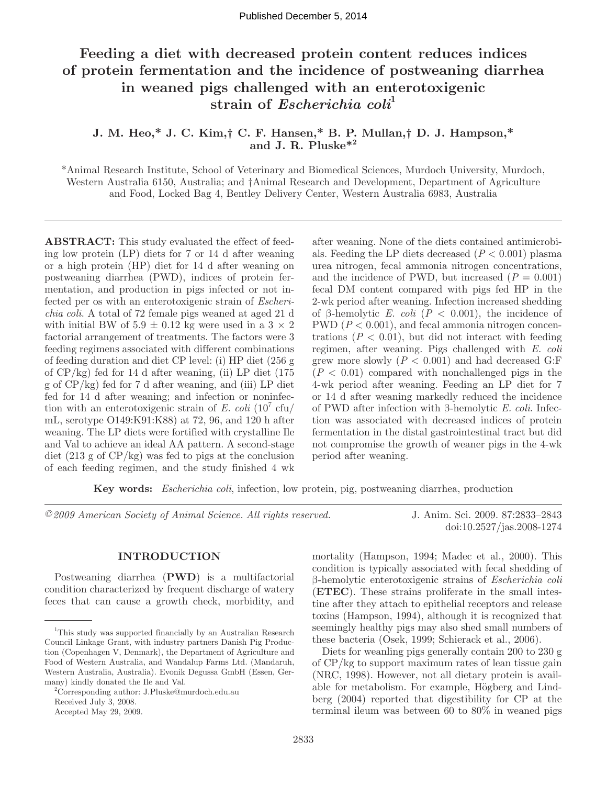# **Feeding a diet with decreased protein content reduces indices of protein fermentation and the incidence of postweaning diarrhea in weaned pigs challenged with an enterotoxigenic strain of** *Escherichia coli***<sup>1</sup>**

## **J. M. Heo,\* J. C. Kim,† C. F. Hansen,\* B. P. Mullan,† D. J. Hampson,\* and J. R. Pluske\*<sup>2</sup>**

\*Animal Research Institute, School of Veterinary and Biomedical Sciences, Murdoch University, Murdoch, Western Australia 6150, Australia; and †Animal Research and Development, Department of Agriculture and Food, Locked Bag 4, Bentley Delivery Center, Western Australia 6983, Australia

**ABSTRACT:** This study evaluated the effect of feeding low protein (LP) diets for 7 or 14 d after weaning or a high protein (HP) diet for 14 d after weaning on postweaning diarrhea (PWD), indices of protein fermentation, and production in pigs infected or not infected per os with an enterotoxigenic strain of *Escherichia coli*. A total of 72 female pigs weaned at aged 21 d with initial BW of  $5.9 \pm 0.12$  kg were used in a  $3 \times 2$ factorial arrangement of treatments. The factors were 3 feeding regimens associated with different combinations of feeding duration and diet CP level: (i) HP diet (256 g of CP/kg) fed for 14 d after weaning, (ii) LP diet (175 g of CP/kg) fed for 7 d after weaning, and (iii) LP diet fed for 14 d after weaning; and infection or noninfection with an enterotoxigenic strain of  $E.$  coli  $(10^7 \text{ cftu})$ mL, serotype O149:K91:K88) at 72, 96, and 120 h after weaning. The LP diets were fortified with crystalline Ile and Val to achieve an ideal AA pattern. A second-stage diet  $(213 \text{ g of CP/kg})$  was fed to pigs at the conclusion of each feeding regimen, and the study finished 4 wk after weaning. None of the diets contained antimicrobials. Feeding the LP diets decreased  $(P < 0.001)$  plasma urea nitrogen, fecal ammonia nitrogen concentrations, and the incidence of PWD, but increased  $(P = 0.001)$ fecal DM content compared with pigs fed HP in the 2-wk period after weaning. Infection increased shedding of β-hemolytic *E. coli* (*P* < 0.001), the incidence of PWD (*P* < 0.001), and fecal ammonia nitrogen concentrations  $(P < 0.01)$ , but did not interact with feeding regimen, after weaning. Pigs challenged with *E. coli* grew more slowly  $(P < 0.001)$  and had decreased G:F  $(P < 0.01)$  compared with nonchallenged pigs in the 4-wk period after weaning. Feeding an LP diet for 7 or 14 d after weaning markedly reduced the incidence of PWD after infection with β-hemolytic *E. coli*. Infection was associated with decreased indices of protein fermentation in the distal gastrointestinal tract but did not compromise the growth of weaner pigs in the 4-wk period after weaning.

**Key words:** *Escherichia coli*, infection, low protein, pig, postweaning diarrhea, production

*©2009 American Society of Animal Science. All rights reserved.* J. Anim. Sci. 2009. 87:2833–2843

doi:10.2527/jas.2008-1274

## **INTRODUCTION**

Postweaning diarrhea (**PWD**) is a multifactorial condition characterized by frequent discharge of watery feces that can cause a growth check, morbidity, and mortality (Hampson, 1994; Madec et al., 2000). This condition is typically associated with fecal shedding of β-hemolytic enterotoxigenic strains of *Escherichia coli* (**ETEC**). These strains proliferate in the small intestine after they attach to epithelial receptors and release toxins (Hampson, 1994), although it is recognized that seemingly healthy pigs may also shed small numbers of these bacteria (Osek, 1999; Schierack et al., 2006).

Diets for weanling pigs generally contain 200 to 230 g of CP/kg to support maximum rates of lean tissue gain (NRC, 1998). However, not all dietary protein is available for metabolism. For example, Högberg and Lindberg (2004) reported that digestibility for CP at the terminal ileum was between 60 to 80% in weaned pigs

<sup>&</sup>lt;sup>1</sup>This study was supported financially by an Australian Research Council Linkage Grant, with industry partners Danish Pig Production (Copenhagen V, Denmark), the Department of Agriculture and Food of Western Australia, and Wandalup Farms Ltd. (Mandaruh, Western Australia, Australia). Evonik Degussa GmbH (Essen, Germany) kindly donated the Ile and Val.

<sup>2</sup> Corresponding author: J.Pluske@murdoch.edu.au

Received July 3, 2008.

Accepted May 29, 2009.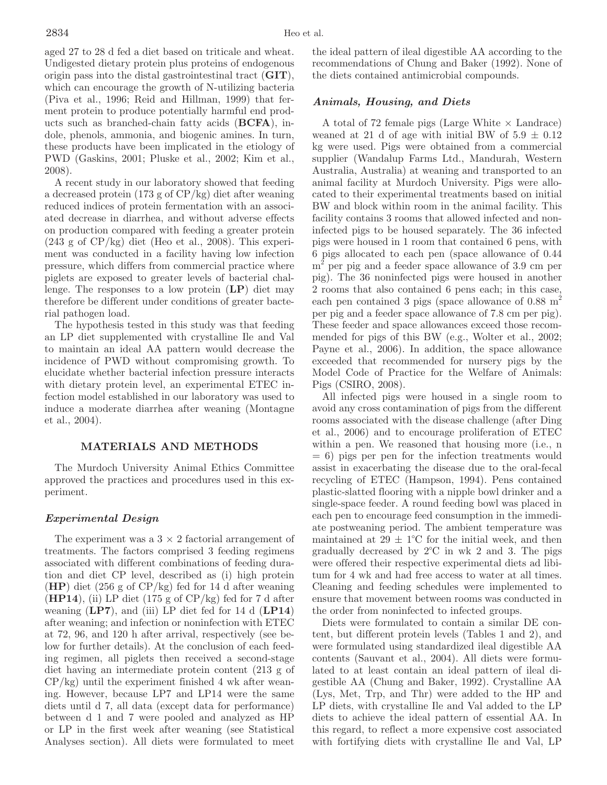## aged 27 to 28 d fed a diet based on triticale and wheat. Undigested dietary protein plus proteins of endogenous origin pass into the distal gastrointestinal tract (**GIT**), which can encourage the growth of N-utilizing bacteria (Piva et al., 1996; Reid and Hillman, 1999) that ferment protein to produce potentially harmful end products such as branched-chain fatty acids (**BCFA**), indole, phenols, ammonia, and biogenic amines. In turn, these products have been implicated in the etiology of PWD (Gaskins, 2001; Pluske et al., 2002; Kim et al., 2008).

A recent study in our laboratory showed that feeding a decreased protein (173 g of CP/kg) diet after weaning reduced indices of protein fermentation with an associated decrease in diarrhea, and without adverse effects on production compared with feeding a greater protein  $(243 \text{ g of CP/kg})$  diet (Heo et al., 2008). This experiment was conducted in a facility having low infection pressure, which differs from commercial practice where piglets are exposed to greater levels of bacterial challenge. The responses to a low protein (**LP**) diet may therefore be different under conditions of greater bacterial pathogen load.

The hypothesis tested in this study was that feeding an LP diet supplemented with crystalline Ile and Val to maintain an ideal AA pattern would decrease the incidence of PWD without compromising growth. To elucidate whether bacterial infection pressure interacts with dietary protein level, an experimental ETEC infection model established in our laboratory was used to induce a moderate diarrhea after weaning (Montagne et al., 2004).

## **MATERIALS AND METHODS**

The Murdoch University Animal Ethics Committee approved the practices and procedures used in this experiment.

## *Experimental Design*

The experiment was a  $3 \times 2$  factorial arrangement of treatments. The factors comprised 3 feeding regimens associated with different combinations of feeding duration and diet CP level, described as (i) high protein (**HP**) diet (256 g of CP/kg) fed for 14 d after weaning (**HP14**), (ii) LP diet (175 g of CP/kg) fed for 7 d after weaning (**LP7**), and (iii) LP diet fed for 14 d (**LP14**) after weaning; and infection or noninfection with ETEC at 72, 96, and 120 h after arrival, respectively (see below for further details). At the conclusion of each feeding regimen, all piglets then received a second-stage diet having an intermediate protein content (213 g of  $CP/kg$ ) until the experiment finished 4 wk after weaning. However, because LP7 and LP14 were the same diets until d 7, all data (except data for performance) between d 1 and 7 were pooled and analyzed as HP or LP in the first week after weaning (see Statistical Analyses section). All diets were formulated to meet

the ideal pattern of ileal digestible AA according to the recommendations of Chung and Baker (1992). None of the diets contained antimicrobial compounds.

#### *Animals, Housing, and Diets*

A total of 72 female pigs (Large White  $\times$  Landrace) weaned at 21 d of age with initial BW of  $5.9 \pm 0.12$ kg were used. Pigs were obtained from a commercial supplier (Wandalup Farms Ltd., Mandurah, Western Australia, Australia) at weaning and transported to an animal facility at Murdoch University. Pigs were allocated to their experimental treatments based on initial BW and block within room in the animal facility. This facility contains 3 rooms that allowed infected and noninfected pigs to be housed separately. The 36 infected pigs were housed in 1 room that contained 6 pens, with 6 pigs allocated to each pen (space allowance of 0.44 m<sup>2</sup> per pig and a feeder space allowance of 3.9 cm per pig). The 36 noninfected pigs were housed in another 2 rooms that also contained 6 pens each; in this case, each pen contained 3 pigs (space allowance of  $0.88 \text{ m}^2$ ) per pig and a feeder space allowance of 7.8 cm per pig). These feeder and space allowances exceed those recommended for pigs of this BW (e.g., Wolter et al., 2002; Payne et al., 2006). In addition, the space allowance exceeded that recommended for nursery pigs by the Model Code of Practice for the Welfare of Animals: Pigs (CSIRO, 2008).

All infected pigs were housed in a single room to avoid any cross contamination of pigs from the different rooms associated with the disease challenge (after Ding et al., 2006) and to encourage proliferation of ETEC within a pen. We reasoned that housing more (i.e., n  $= 6$ ) pigs per pen for the infection treatments would assist in exacerbating the disease due to the oral-fecal recycling of ETEC (Hampson, 1994). Pens contained plastic-slatted flooring with a nipple bowl drinker and a single-space feeder. A round feeding bowl was placed in each pen to encourage feed consumption in the immediate postweaning period. The ambient temperature was maintained at  $29 \pm 1$ °C for the initial week, and then gradually decreased by 2°C in wk 2 and 3. The pigs were offered their respective experimental diets ad libitum for 4 wk and had free access to water at all times. Cleaning and feeding schedules were implemented to ensure that movement between rooms was conducted in the order from noninfected to infected groups.

Diets were formulated to contain a similar DE content, but different protein levels (Tables 1 and 2), and were formulated using standardized ileal digestible AA contents (Sauvant et al., 2004). All diets were formulated to at least contain an ideal pattern of ileal digestible AA (Chung and Baker, 1992). Crystalline AA (Lys, Met, Trp, and Thr) were added to the HP and LP diets, with crystalline Ile and Val added to the LP diets to achieve the ideal pattern of essential AA. In this regard, to reflect a more expensive cost associated with fortifying diets with crystalline Ile and Val, LP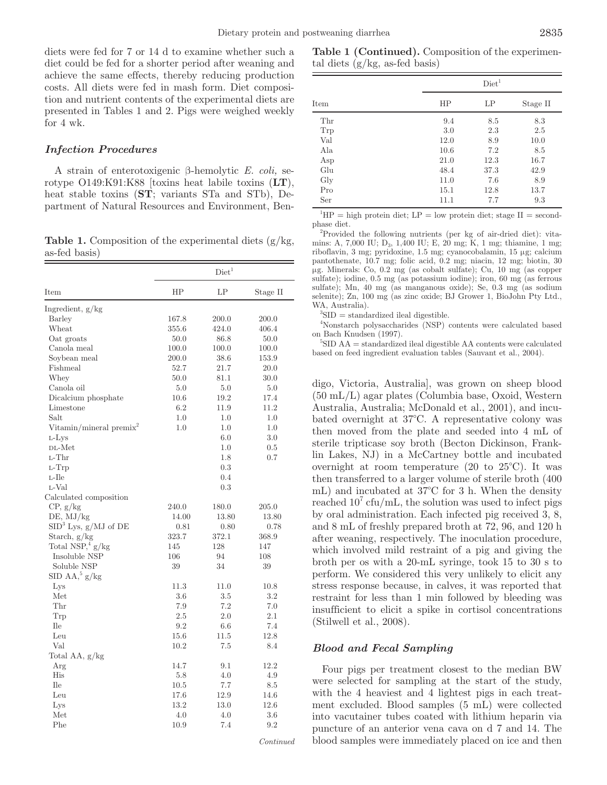diets were fed for 7 or 14 d to examine whether such a diet could be fed for a shorter period after weaning and achieve the same effects, thereby reducing production costs. All diets were fed in mash form. Diet composition and nutrient contents of the experimental diets are presented in Tables 1 and 2. Pigs were weighed weekly for 4 wk.

#### *Infection Procedures*

A strain of enterotoxigenic β-hemolytic *E. coli,* serotype O149:K91:K88 [toxins heat labile toxins (**LT**), heat stable toxins (**ST**; variants STa and STb), Department of Natural Resources and Environment, Ben-

**Table 1.** Composition of the experimental diets (g/kg, as-fed basis)

|                                     | Diet <sup>1</sup> |         |           |  |  |  |  |
|-------------------------------------|-------------------|---------|-----------|--|--|--|--|
| Item                                | HP                | LP      | Stage II  |  |  |  |  |
| Ingredient, g/kg                    |                   |         |           |  |  |  |  |
| <b>Barley</b>                       | 167.8             | 200.0   | 200.0     |  |  |  |  |
| Wheat                               | 355.6             | 424.0   | 406.4     |  |  |  |  |
| Oat groats                          | 50.0              | 86.8    | 50.0      |  |  |  |  |
| Canola meal                         | 100.0             | 100.0   | 100.0     |  |  |  |  |
| Soybean meal                        | 200.0             | 38.6    | 153.9     |  |  |  |  |
| Fishmeal                            | 52.7              | 21.7    | 20.0      |  |  |  |  |
| Whey                                | 50.0              | 81.1    | 30.0      |  |  |  |  |
| Canola oil                          | 5.0               | 5.0     | 5.0       |  |  |  |  |
| Dicalcium phosphate                 | 10.6              | 19.2    | 17.4      |  |  |  |  |
| Limestone                           | 6.2               | 11.9    | 11.2      |  |  |  |  |
| Salt                                | 1.0               | 1.0     | 1.0       |  |  |  |  |
| Vitamin/mineral premix <sup>2</sup> | 1.0               | 1.0     | 1.0       |  |  |  |  |
| $L-Lys$                             |                   | 6.0     | 3.0       |  |  |  |  |
| $DL-Met$                            |                   | 1.0     | 0.5       |  |  |  |  |
| $L-Thr$                             |                   | 1.8     | 0.7       |  |  |  |  |
| $L-Trp$                             |                   | 0.3     |           |  |  |  |  |
| $L$ -Ile                            |                   | 0.4     |           |  |  |  |  |
| L-Val                               |                   | 0.3     |           |  |  |  |  |
| Calculated composition              |                   |         |           |  |  |  |  |
| CP, g/kg                            | 240.0             | 180.0   | 205.0     |  |  |  |  |
| DE, MJ/kg                           | 14.00             | 13.80   | 13.80     |  |  |  |  |
| $\text{SID}^3$ Lys, g/MJ of DE      | 0.81              | 0.80    | 0.78      |  |  |  |  |
| Starch, g/kg                        | 323.7             | 372.1   | 368.9     |  |  |  |  |
| Total NSP, $g/kg$                   | 145               | 128     | 147       |  |  |  |  |
| Insoluble NSP                       | 106               | 94      | 108       |  |  |  |  |
| Soluble NSP                         | 39                | 34      | 39        |  |  |  |  |
| $SID\ AA, \frac{5}{9}g/kg$          |                   |         |           |  |  |  |  |
| Lys                                 | 11.3              | 11.0    | 10.8      |  |  |  |  |
| Met                                 | $3.6\,$           | $3.5\,$ | 3.2       |  |  |  |  |
| Thr                                 | 7.9               | 7.2     | 7.0       |  |  |  |  |
| Trp                                 | 2.5               | 2.0     | 2.1       |  |  |  |  |
| <b>Ile</b>                          | 9.2               | 6.6     | 7.4       |  |  |  |  |
| Leu                                 | 15.6              | 11.5    | 12.8      |  |  |  |  |
| Val                                 | 10.2              | 7.5     | 8.4       |  |  |  |  |
| Total AA, g/kg                      |                   |         |           |  |  |  |  |
| Arg                                 | 14.7              | 9.1     | 12.2      |  |  |  |  |
| His                                 | 5.8               | 4.0     | 4.9       |  |  |  |  |
| <b>Ile</b>                          | 10.5              | 7.7     | 8.5       |  |  |  |  |
| Leu                                 | 17.6              | 12.9    | 14.6      |  |  |  |  |
| Lys                                 | 13.2              | 13.0    | 12.6      |  |  |  |  |
| Met                                 | 4.0               | 4.0     | 3.6       |  |  |  |  |
| Phe                                 | 10.9              | 7.4     | 9.2       |  |  |  |  |
|                                     |                   |         | Continued |  |  |  |  |

**Table 1 (Continued).** Composition of the experimental diets (g/kg, as-fed basis)

|      | Diet <sup>1</sup> |      |          |  |  |  |  |
|------|-------------------|------|----------|--|--|--|--|
| Item | ΗP                | LP   | Stage II |  |  |  |  |
| Thr  | 9.4               | 8.5  | 8.3      |  |  |  |  |
| Trp  | 3.0               | 2.3  | 2.5      |  |  |  |  |
| Val  | 12.0              | 8.9  | 10.0     |  |  |  |  |
| Ala  | 10.6              | 7.2  | 8.5      |  |  |  |  |
| Asp  | 21.0              | 12.3 | 16.7     |  |  |  |  |
| Glu  | 48.4              | 37.3 | 42.9     |  |  |  |  |
| Gly  | 11.0              | 7.6  | 8.9      |  |  |  |  |
| Pro  | 15.1              | 12.8 | 13.7     |  |  |  |  |
| Ser  | 11.1              | 7.7  | 9.3      |  |  |  |  |

 ${}^{1}HP$  = high protein diet; LP = low protein diet; stage II = secondphase diet.

2 Provided the following nutrients (per kg of air-dried diet): vitamins: A, 7,000 IU; D<sub>3</sub>, 1,400 IU; E, 20 mg; K, 1 mg; thiamine, 1 mg; riboflavin, 3 mg; pyridoxine, 1.5 mg; cyanocobalamin, 15 µg; calcium pantothenate, 10.7 mg; folic acid, 0.2 mg; niacin, 12 mg; biotin, 30 µg. Minerals: Co, 0.2 mg (as cobalt sulfate); Cu, 10 mg (as copper sulfate); iodine, 0.5 mg (as potassium iodine); iron, 60 mg (as ferrous sulfate); Mn, 40 mg (as manganous oxide); Se, 0.3 mg (as sodium selenite); Zn, 100 mg (as zinc oxide; BJ Grower 1, BioJohn Pty Ltd., WA, Australia).

 ${}^{3}$ SID = standardized ileal digestible.

4 Nonstarch polysaccharides (NSP) contents were calculated based on Bach Knudsen (1997).

 ${}^{5}$ SID AA = standardized ileal digestible AA contents were calculated based on feed ingredient evaluation tables (Sauvant et al., 2004).

digo, Victoria, Australia], was grown on sheep blood (50 mL/L) agar plates (Columbia base, Oxoid, Western Australia, Australia; McDonald et al., 2001), and incubated overnight at 37°C. A representative colony was then moved from the plate and seeded into 4 mL of sterile tripticase soy broth (Becton Dickinson, Franklin Lakes, NJ) in a McCartney bottle and incubated overnight at room temperature (20 to 25°C). It was then transferred to a larger volume of sterile broth (400 mL) and incubated at 37°C for 3 h. When the density reached  $10^7$  cfu/mL, the solution was used to infect pigs by oral administration. Each infected pig received 3, 8, and 8 mL of freshly prepared broth at 72, 96, and 120 h after weaning, respectively. The inoculation procedure, which involved mild restraint of a pig and giving the broth per os with a 20-mL syringe, took 15 to 30 s to perform. We considered this very unlikely to elicit any stress response because, in calves, it was reported that restraint for less than 1 min followed by bleeding was insufficient to elicit a spike in cortisol concentrations (Stilwell et al., 2008).

#### *Blood and Fecal Sampling*

Four pigs per treatment closest to the median BW were selected for sampling at the start of the study, with the 4 heaviest and 4 lightest pigs in each treatment excluded. Blood samples (5 mL) were collected into vacutainer tubes coated with lithium heparin via puncture of an anterior vena cava on d 7 and 14. The blood samples were immediately placed on ice and then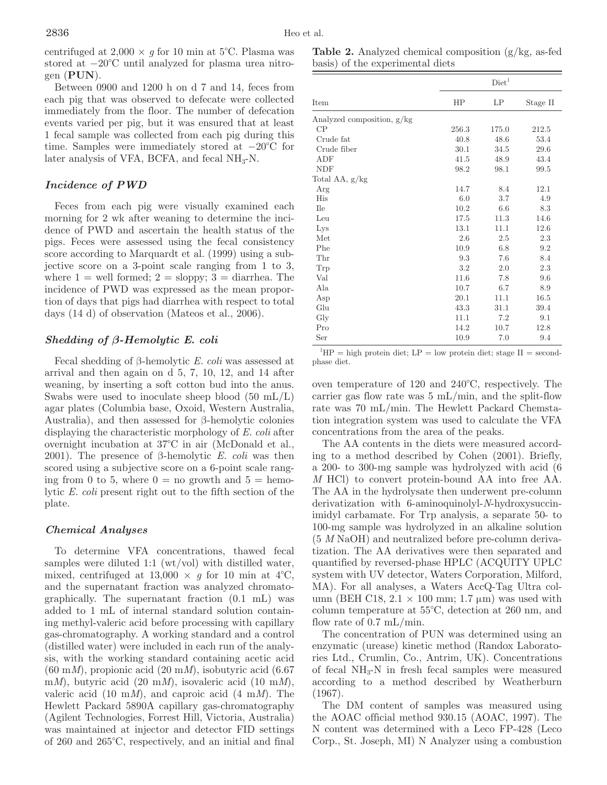centrifuged at  $2,000 \times q$  for 10 min at 5<sup>°</sup>C. Plasma was stored at −20°C until analyzed for plasma urea nitrogen (**PUN**).

Between 0900 and 1200 h on d 7 and 14, feces from each pig that was observed to defecate were collected immediately from the floor. The number of defecation events varied per pig, but it was ensured that at least 1 fecal sample was collected from each pig during this time. Samples were immediately stored at −20°C for later analysis of VFA, BCFA, and fecal  $NH<sub>3</sub>-N$ .

## *Incidence of PWD*

Feces from each pig were visually examined each morning for 2 wk after weaning to determine the incidence of PWD and ascertain the health status of the pigs. Feces were assessed using the fecal consistency score according to Marquardt et al. (1999) using a subjective score on a 3-point scale ranging from 1 to 3, where  $1 =$  well formed;  $2 =$  sloppy;  $3 =$  diarrhea. The incidence of PWD was expressed as the mean proportion of days that pigs had diarrhea with respect to total days (14 d) of observation (Mateos et al., 2006).

## *Shedding of β-Hemolytic E. coli*

Fecal shedding of β-hemolytic *E. coli* was assessed at arrival and then again on d 5, 7, 10, 12, and 14 after weaning, by inserting a soft cotton bud into the anus. Swabs were used to inoculate sheep blood (50 mL/L) agar plates (Columbia base, Oxoid, Western Australia, Australia), and then assessed for β-hemolytic colonies displaying the characteristic morphology of *E. coli* after overnight incubation at 37°C in air (McDonald et al., 2001). The presence of β-hemolytic *E. coli* was then scored using a subjective score on a 6-point scale ranging from 0 to 5, where  $0 =$  no growth and  $5 =$  hemolytic *E. coli* present right out to the fifth section of the plate.

## *Chemical Analyses*

To determine VFA concentrations, thawed fecal samples were diluted 1:1 (wt/vol) with distilled water, mixed, centrifuged at  $13,000 \times g$  for 10 min at 4<sup>o</sup>C, and the supernatant fraction was analyzed chromatographically. The supernatant fraction (0.1 mL) was added to 1 mL of internal standard solution containing methyl-valeric acid before processing with capillary gas-chromatography. A working standard and a control (distilled water) were included in each run of the analysis, with the working standard containing acetic acid (60 m*M*), propionic acid (20 m*M*), isobutyric acid (6.67 m*M*), butyric acid (20 m*M*), isovaleric acid (10 m*M*), valeric acid (10 m*M*), and caproic acid (4 m*M*). The Hewlett Packard 5890A capillary gas-chromatography (Agilent Technologies, Forrest Hill, Victoria, Australia) was maintained at injector and detector FID settings of 260 and 265°C, respectively, and an initial and final

**Table 2.** Analyzed chemical composition (g/kg, as-fed basis) of the experimental diets

|                            | Diet <sup>1</sup> |       |          |  |  |  |  |
|----------------------------|-------------------|-------|----------|--|--|--|--|
| Item                       | HP                | LP    | Stage II |  |  |  |  |
| Analyzed composition, g/kg |                   |       |          |  |  |  |  |
| $\rm CP$                   | 256.3             | 175.0 | 212.5    |  |  |  |  |
| Crude fat                  | 40.8              | 48.6  | 53.4     |  |  |  |  |
| Crude fiber                | 30.1              | 34.5  | 29.6     |  |  |  |  |
| ADF                        | 41.5              | 48.9  | 43.4     |  |  |  |  |
| <b>NDF</b>                 | 98.2              | 98.1  | 99.5     |  |  |  |  |
| Total AA, $g/kg$           |                   |       |          |  |  |  |  |
| Arg                        | 14.7              | 8.4   | 12.1     |  |  |  |  |
| His                        | 6.0               | 3.7   | 4.9      |  |  |  |  |
| Ile                        | 10.2              | 6.6   | 8.3      |  |  |  |  |
| Leu                        | 17.5              | 11.3  | 14.6     |  |  |  |  |
| Lys                        | 13.1              | 11.1  | 12.6     |  |  |  |  |
| Met                        | 2.6               | 2.5   | 2.3      |  |  |  |  |
| Phe                        | 10.9              | 6.8   | 9.2      |  |  |  |  |
| Thr                        | 9.3               | 7.6   | 8.4      |  |  |  |  |
| Trp                        | 3.2               | 2.0   | 2.3      |  |  |  |  |
| Val                        | 11.6              | 7.8   | 9.6      |  |  |  |  |
| Ala                        | 10.7              | 6.7   | 8.9      |  |  |  |  |
| Asp                        | 20.1              | 11.1  | 16.5     |  |  |  |  |
| Glu                        | 43.3              | 31.1  | 39.4     |  |  |  |  |
| Gly                        | 11.1              | 7.2   | 9.1      |  |  |  |  |
| Pro                        | 14.2              | 10.7  | 12.8     |  |  |  |  |
| Ser                        | 10.9              | 7.0   | 9.4      |  |  |  |  |

 ${}^{1}HP$  = high protein diet; LP = low protein diet; stage II = secondphase diet.

oven temperature of 120 and 240°C, respectively. The carrier gas flow rate was  $5 \text{ mL/min}$ , and the split-flow rate was 70 mL/min. The Hewlett Packard Chemstation integration system was used to calculate the VFA concentrations from the area of the peaks.

The AA contents in the diets were measured according to a method described by Cohen (2001). Briefly, a 200- to 300-mg sample was hydrolyzed with acid (6 *M* HCl) to convert protein-bound AA into free AA. The AA in the hydrolysate then underwent pre-column derivatization with 6-aminoquinolyl-*N*-hydroxysuccinimidyl carbamate. For Trp analysis, a separate 50- to 100-mg sample was hydrolyzed in an alkaline solution (5 *M* NaOH) and neutralized before pre-column derivatization. The AA derivatives were then separated and quantified by reversed-phase HPLC (ACQUITY UPLC system with UV detector, Waters Corporation, Milford, MA). For all analyses, a Waters AccQ-Tag Ultra column (BEH C18,  $2.1 \times 100$  mm;  $1.7 \mu$ m) was used with column temperature at 55°C, detection at 260 nm, and flow rate of 0.7 mL/min.

The concentration of PUN was determined using an enzymatic (urease) kinetic method (Randox Laboratories Ltd., Crumlin, Co., Antrim, UK). Concentrations of fecal  $NH<sub>3</sub>-N$  in fresh fecal samples were measured according to a method described by Weatherburn (1967).

The DM content of samples was measured using the AOAC official method 930.15 (AOAC, 1997). The N content was determined with a Leco FP-428 (Leco Corp., St. Joseph, MI) N Analyzer using a combustion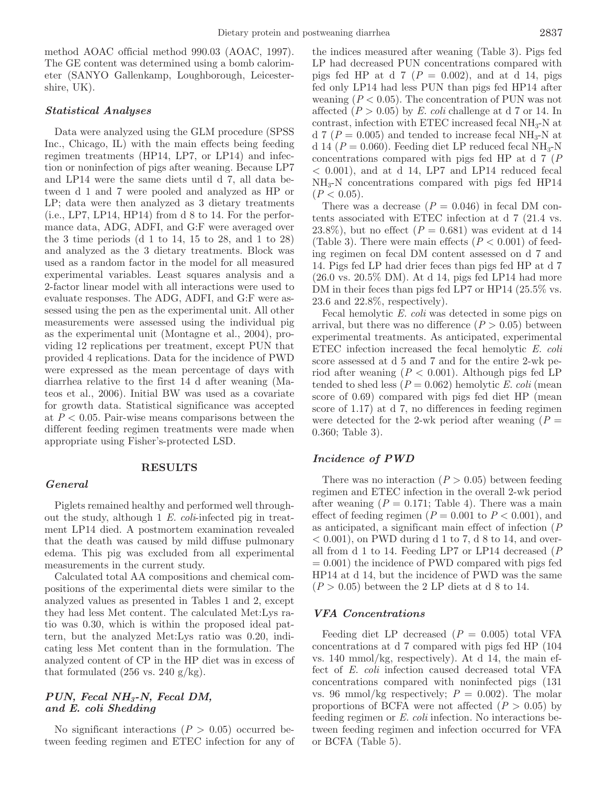method AOAC official method 990.03 (AOAC, 1997). The GE content was determined using a bomb calorimeter (SANYO Gallenkamp, Loughborough, Leicestershire, UK).

#### *Statistical Analyses*

Data were analyzed using the GLM procedure (SPSS Inc., Chicago, IL) with the main effects being feeding regimen treatments (HP14, LP7, or LP14) and infection or noninfection of pigs after weaning. Because LP7 and LP14 were the same diets until d 7, all data between d 1 and 7 were pooled and analyzed as HP or LP; data were then analyzed as 3 dietary treatments (i.e., LP7, LP14, HP14) from d 8 to 14. For the performance data, ADG, ADFI, and G:F were averaged over the 3 time periods  $(d 1 to 14, 15 to 28, and 1 to 28)$ and analyzed as the 3 dietary treatments. Block was used as a random factor in the model for all measured experimental variables. Least squares analysis and a 2-factor linear model with all interactions were used to evaluate responses. The ADG, ADFI, and G:F were assessed using the pen as the experimental unit. All other measurements were assessed using the individual pig as the experimental unit (Montagne et al., 2004), providing 12 replications per treatment, except PUN that provided 4 replications. Data for the incidence of PWD were expressed as the mean percentage of days with diarrhea relative to the first 14 d after weaning (Mateos et al., 2006). Initial BW was used as a covariate for growth data. Statistical significance was accepted at  $P < 0.05$ . Pair-wise means comparisons between the different feeding regimen treatments were made when appropriate using Fisher's-protected LSD.

#### **RESULTS**

#### *General*

Piglets remained healthy and performed well throughout the study, although 1 *E. coli*-infected pig in treatment LP14 died. A postmortem examination revealed that the death was caused by mild diffuse pulmonary edema. This pig was excluded from all experimental measurements in the current study.

Calculated total AA compositions and chemical compositions of the experimental diets were similar to the analyzed values as presented in Tables 1 and 2, except they had less Met content. The calculated Met:Lys ratio was 0.30, which is within the proposed ideal pattern, but the analyzed Met:Lys ratio was 0.20, indicating less Met content than in the formulation. The analyzed content of CP in the HP diet was in excess of that formulated  $(256 \text{ vs. } 240 \text{ g/kg}).$ 

## *PUN, Fecal NH3-N, Fecal DM, and E. coli Shedding*

No significant interactions  $(P > 0.05)$  occurred between feeding regimen and ETEC infection for any of the indices measured after weaning (Table 3). Pigs fed LP had decreased PUN concentrations compared with pigs fed HP at d  $7$   $(P = 0.002)$ , and at d 14, pigs fed only LP14 had less PUN than pigs fed HP14 after weaning  $(P < 0.05)$ . The concentration of PUN was not affected  $(P > 0.05)$  by *E. coli* challenge at d 7 or 14. In contrast, infection with ETEC increased fecal  $NH<sub>3</sub>$ -N at d 7 ( $P = 0.005$ ) and tended to increase fecal NH<sub>3</sub>-N at d 14 ( $P = 0.060$ ). Feeding diet LP reduced fecal NH<sub>3</sub>-N concentrations compared with pigs fed HP at d 7 (*P* < 0.001), and at d 14, LP7 and LP14 reduced fecal  $NH<sub>3</sub>-N$  concentrations compared with pigs fed HP14  $(P < 0.05)$ .

There was a decrease  $(P = 0.046)$  in fecal DM contents associated with ETEC infection at d 7 (21.4 vs. 23.8%), but no effect  $(P = 0.681)$  was evident at d 14 (Table 3). There were main effects ( $P < 0.001$ ) of feeding regimen on fecal DM content assessed on d 7 and 14. Pigs fed LP had drier feces than pigs fed HP at d 7 (26.0 vs. 20.5% DM). At d 14, pigs fed LP14 had more DM in their feces than pigs fed LP7 or HP14 (25.5% vs. 23.6 and 22.8%, respectively).

Fecal hemolytic *E. coli* was detected in some pigs on arrival, but there was no difference  $(P > 0.05)$  between experimental treatments. As anticipated, experimental ETEC infection increased the fecal hemolytic *E. coli* score assessed at d 5 and 7 and for the entire 2-wk period after weaning (*P* < 0.001). Although pigs fed LP tended to shed less (*P* = 0.062) hemolytic *E. coli* (mean score of 0.69) compared with pigs fed diet HP (mean score of 1.17) at d 7, no differences in feeding regimen were detected for the 2-wk period after weaning  $(P =$ 0.360; Table 3).

## *Incidence of PWD*

There was no interaction  $(P > 0.05)$  between feeding regimen and ETEC infection in the overall 2-wk period after weaning  $(P = 0.171$ ; Table 4). There was a main effect of feeding regimen ( $P = 0.001$  to  $P < 0.001$ ), and as anticipated, a significant main effect of infection (*P*  $< 0.001$ , on PWD during d 1 to 7, d 8 to 14, and overall from d 1 to 14. Feeding LP7 or LP14 decreased (*P*  $= 0.001$ ) the incidence of PWD compared with pigs fed HP14 at d 14, but the incidence of PWD was the same  $(P > 0.05)$  between the 2 LP diets at d 8 to 14.

#### *VFA Concentrations*

Feeding diet LP decreased  $(P = 0.005)$  total VFA concentrations at d 7 compared with pigs fed HP (104 vs. 140 mmol/kg, respectively). At d 14, the main effect of *E. coli* infection caused decreased total VFA concentrations compared with noninfected pigs (131 vs. 96 mmol/kg respectively;  $P = 0.002$ ). The molar proportions of BCFA were not affected  $(P > 0.05)$  by feeding regimen or *E. coli* infection. No interactions between feeding regimen and infection occurred for VFA or BCFA (Table 5).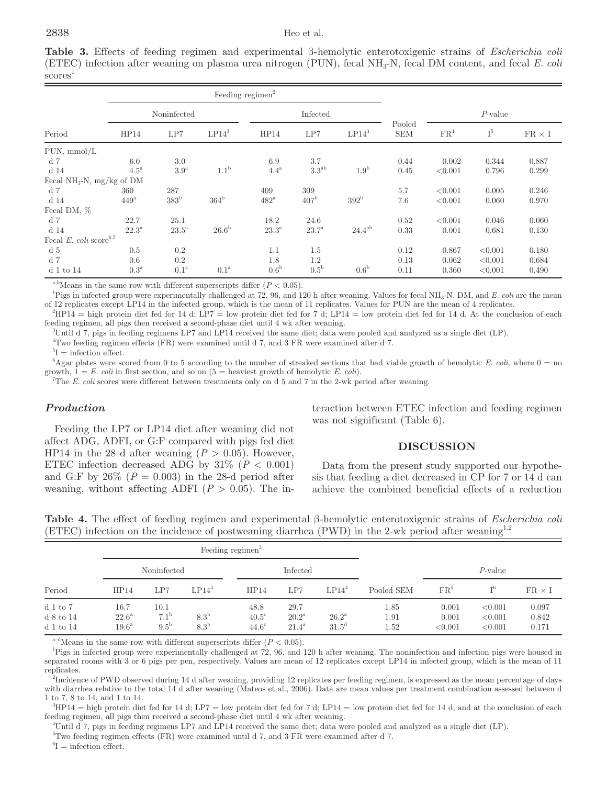#### $2838$  Heo et al.

**Table 3.** Effects of feeding regimen and experimental β-hemolytic enterotoxigenic strains of *Escherichia coli* (ETEC) infection after weaning on plasma urea nitrogen (PUN), fecal NH3-N, fecal DM content, and fecal *E. coli* scores 1

|                                       |                    | Feeding regimen $2$ |                    |                     |                  |                  |                      |                 |                |               |
|---------------------------------------|--------------------|---------------------|--------------------|---------------------|------------------|------------------|----------------------|-----------------|----------------|---------------|
|                                       |                    | Noninfected         |                    |                     | Infected         |                  |                      | $P$ -value      |                |               |
| Period                                | HP14               | LP7                 | $LP14^3$           | HP14                | LP7              | $LP14^3$         | Pooled<br><b>SEM</b> | FR <sup>4</sup> | $\mathrm{I}^5$ | $FR \times I$ |
| $PUN, \, \text{mmol/L}$               |                    |                     |                    |                     |                  |                  |                      |                 |                |               |
| d <sub>7</sub>                        | 6.0                | 3.0                 |                    | 6.9                 | 3.7              |                  | 0.44                 | 0.002           | 0.344          | 0.887         |
| d <sub>14</sub>                       | $4.5^{\mathrm{a}}$ | 3.9 <sup>a</sup>    | 1.1 <sup>b</sup>   | $4.4^{\mathrm{a}}$  | $3.3^{ab}$       | 1.9 <sup>b</sup> | 0.45                 | < 0.001         | 0.796          | 0.299         |
| Fecal NH <sub>3</sub> -N, mg/kg of DM |                    |                     |                    |                     |                  |                  |                      |                 |                |               |
| d <sub>7</sub>                        | 360                | 287                 |                    | 409                 | 309              |                  | 5.7                  | < 0.001         | 0.005          | 0.246         |
| d <sub>14</sub>                       | $449^{\mathrm{a}}$ | $383^{\rm b}$       | $364^{\rm b}$      | $482^{\mathrm{a}}$  | 407 <sup>b</sup> | $392^{\rm b}$    | 7.6                  | < 0.001         | 0.060          | 0.970         |
| Fecal DM, %                           |                    |                     |                    |                     |                  |                  |                      |                 |                |               |
| d <sub>7</sub>                        | 22.7               | 25.1                |                    | 18.2                | 24.6             |                  | 0.52                 | < 0.001         | 0.046          | 0.060         |
| d <sub>14</sub>                       | $22.3^{\rm a}$     | $23.5^{\mathrm{a}}$ | 26.6 <sup>b</sup>  | $23.3^{\mathrm{a}}$ | $23.7^{\rm a}$   | $24.4^{ab}$      | 0.33                 | 0.001           | 0.681          | 0.130         |
| Fecal E. $\text{coli score}^{6,7}$    |                    |                     |                    |                     |                  |                  |                      |                 |                |               |
| d <sub>5</sub>                        | 0.5                | $0.2\,$             |                    | 1.1                 | 1.5              |                  | 0.12                 | 0.867           | < 0.001        | 0.180         |
| d <sub>7</sub>                        | 0.6                | $0.2\,$             |                    | 1.8                 | 1.2              |                  | 0.13                 | 0.062           | < 0.001        | 0.684         |
| $d$ 1 to 14                           | $0.3^{\mathrm{a}}$ | 0.1 <sup>a</sup>    | $0.1^{\mathrm{a}}$ | 0.6 <sup>b</sup>    | $0.5^{\rm b}$    | 0.6 <sup>b</sup> | 0.11                 | 0.360           | < 0.001        | 0.490         |

<sup>a,b</sup>Means in the same row with different superscripts differ  $(P < 0.05)$ .

<sup>1</sup>Pigs in infected group were experimentally challenged at 72, 96, and 120 h after weaning. Values for fecal NH<sub>3</sub>-N, DM, and *E. coli* are the mean of 12 replicates except LP14 in the infected group, which is the mean of 11 replicates. Values for PUN are the mean of 4 replicates. 2

 $HPI4 =$  high protein diet fed for 14 d; LP7 = low protein diet fed for 7 d; LP14 = low protein diet fed for 14 d. At the conclusion of each feeding regimen, all pigs then received a second-phase diet until 4 wk after weaning.

3 Until d 7, pigs in feeding regimens LP7 and LP14 received the same diet; data were pooled and analyzed as a single diet (LP).

<sup>4</sup>Two feeding regimen effects (FR) were examined until d 7, and 3 FR were examined after d 7.

 ${}^{5}I =$  infection effect.

 ${}^{6}$ Agar plates were scored from 0 to 5 according to the number of streaked sections that had viable growth of hemolytic *E. coli*, where  $0 =$  no growth,  $1 = E$ . *coli* in first section, and so on  $(5 =$  heaviest growth of hemolytic *E. coli*).

7 The *E. coli* scores were different between treatments only on d 5 and 7 in the 2-wk period after weaning.

## *Production*

Feeding the LP7 or LP14 diet after weaning did not affect ADG, ADFI, or G:F compared with pigs fed diet HP14 in the 28 d after weaning  $(P > 0.05)$ . However, ETEC infection decreased ADG by  $31\%$  ( $P < 0.001$ ) and G:F by  $26\%$  ( $P = 0.003$ ) in the 28-d period after weaning, without affecting ADFI ( $P > 0.05$ ). The interaction between ETEC infection and feeding regimen was not significant (Table 6).

#### **DISCUSSION**

Data from the present study supported our hypothesis that feeding a diet decreased in CP for 7 or 14 d can achieve the combined beneficial effects of a reduction

**Table 4.** The effect of feeding regimen and experimental β-hemolytic enterotoxigenic strains of *Escherichia coli* (ETEC) infection on the incidence of postweaning diarrhea (PWD) in the 2-wk period after weaning<sup>1,2</sup>

|                                          |                                               |                                           |                                      | Feeding regimen <sup>3</sup>           |                                          |                                       |                      |                           |                               |                         |
|------------------------------------------|-----------------------------------------------|-------------------------------------------|--------------------------------------|----------------------------------------|------------------------------------------|---------------------------------------|----------------------|---------------------------|-------------------------------|-------------------------|
|                                          | Noninfected                                   |                                           |                                      |                                        | Infected                                 |                                       |                      | $P$ -value                |                               |                         |
| Period                                   | HP14                                          | LP7                                       | $LP14^4$                             | HP14                                   | LP7                                      | $LP14^4$                              | Pooled SEM           | FR <sup>5</sup>           | $T^6$                         | $FR \times I$           |
| $d1$ to $7$<br>$d$ 8 to 14<br>$d1$ to 14 | 16.7<br>$22.6^{\rm a}$<br>$19.6^{\mathrm{a}}$ | 10.1<br>7.1 <sup>b</sup><br>$9.5^{\circ}$ | 8.3 <sup>b</sup><br>8.3 <sup>b</sup> | 48.8<br>$40.5^{\circ}$<br>$44.6^\circ$ | 29.7<br>$20.2^{\rm a}$<br>$21.4^{\rm a}$ | $26.2^{\rm a}$<br>$31.5^{\mathrm{d}}$ | 1.85<br>1.91<br>1.52 | 0.001<br>0.001<br>< 0.001 | < 0.001<br>< 0.001<br>< 0.001 | 0.097<br>0.842<br>0.171 |

 $a^{-d}$ Means in the same row with different superscripts differ  $(P < 0.05)$ .

<sup>1</sup>Pigs in infected group were experimentally challenged at 72, 96, and 120 h after weaning. The noninfection and infection pigs were housed in separated rooms with 3 or 6 pigs per pen, respectively. Values are mean of 12 replicates except LP14 in infected group, which is the mean of 11 replicates.

2 Incidence of PWD observed during 14 d after weaning, providing 12 replicates per feeding regimen, is expressed as the mean percentage of days with diarrhea relative to the total 14 d after weaning (Mateos et al., 2006). Data are mean values per treatment combination assessed between d 1 to 7, 8 to 14, and 1 to 14.

 ${}^{3}HP14$  = high protein diet fed for 14 d; LP7 = low protein diet fed for 7 d; LP14 = low protein diet fed for 14 d, and at the conclusion of each feeding regimen, all pigs then received a second-phase diet until 4 wk after weaning.

4 Until d 7, pigs in feeding regimens LP7 and LP14 received the same diet; data were pooled and analyzed as a single diet (LP).

<sup>5</sup>Two feeding regimen effects (FR) were examined until d 7, and 3 FR were examined after d 7.

 ${}^{6}I$  = infection effect.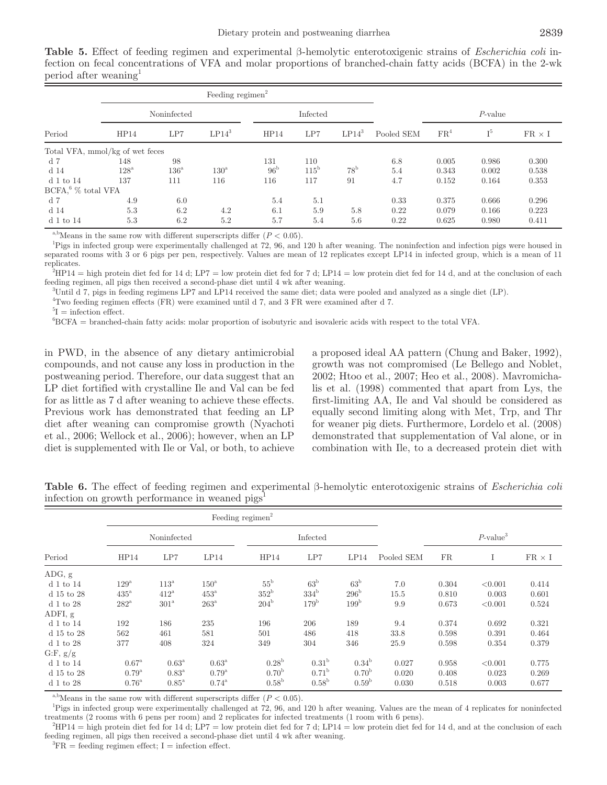**Table 5.** Effect of feeding regimen and experimental β-hemolytic enterotoxigenic strains of *Escherichia coli* infection on fecal concentrations of VFA and molar proportions of branched-chain fatty acids (BCFA) in the 2-wk period after weaning

|                        |                                 |               | Feeding regimen <sup>2</sup> |                 |               |              |            |                 |                |               |
|------------------------|---------------------------------|---------------|------------------------------|-----------------|---------------|--------------|------------|-----------------|----------------|---------------|
|                        |                                 | Noninfected   | Infected                     |                 |               |              | $P$ -value |                 |                |               |
| Period                 | HP14                            | LP7           | $LP14^3$                     | HP14            | LP7           | $LP14^3$     | Pooled SEM | FR <sup>4</sup> | $\mathrm{I}^5$ | $FR \times I$ |
|                        | Total VFA, mmol/kg of wet feces |               |                              |                 |               |              |            |                 |                |               |
| d 7                    | 148                             | 98            |                              | 131             | 110           |              | 6.8        | 0.005           | 0.986          | 0.300         |
| d 14                   | $128^{\rm a}$                   | $136^{\rm a}$ | $130^{\rm a}$                | 96 <sup>b</sup> | $115^{\rm b}$ | $78^{\rm b}$ | 5.4        | 0.343           | 0.002          | 0.538         |
| $d1$ to 14             | 137                             | 111           | 116                          | 116             | 117           | 91           | 4.7        | 0.152           | 0.164          | 0.353         |
| $BCFA, ^6$ % total VFA |                                 |               |                              |                 |               |              |            |                 |                |               |
| d 7                    | 4.9                             | 6.0           |                              | 5.4             | 5.1           |              | 0.33       | 0.375           | 0.666          | 0.296         |
| d 14                   | 5.3                             | 6.2           | 4.2                          | 6.1             | 5.9           | 5.8          | 0.22       | 0.079           | 0.166          | 0.223         |
| $d1$ to 14             | 5.3                             | 6.2           | 5.2                          | 5.7             | 5.4           | 5.6          | 0.22       | 0.625           | 0.980          | 0.411         |

<sup>a,b</sup>Means in the same row with different superscripts differ  $(P < 0.05)$ .

<sup>1</sup>Pigs in infected group were experimentally challenged at 72, 96, and 120 h after weaning. The noninfection and infection pigs were housed in separated rooms with 3 or 6 pigs per pen, respectively. Values are mean of 12 replicates except LP14 in infected group, which is a mean of 11 replicates.

 $^{2}HP14 =$  high protein diet fed for 14 d; LP7 = low protein diet fed for 7 d; LP14 = low protein diet fed for 14 d, and at the conclusion of each feeding regimen, all pigs then received a second-phase diet until 4 wk after weaning.

3 Until d 7, pigs in feeding regimens LP7 and LP14 received the same diet; data were pooled and analyzed as a single diet (LP).

4 Two feeding regimen effects (FR) were examined until d 7, and 3 FR were examined after d 7.

 ${}^{5}I =$  infection effect.

6 BCFA = branched-chain fatty acids: molar proportion of isobutyric and isovaleric acids with respect to the total VFA.

in PWD, in the absence of any dietary antimicrobial compounds, and not cause any loss in production in the postweaning period. Therefore, our data suggest that an LP diet fortified with crystalline Ile and Val can be fed for as little as 7 d after weaning to achieve these effects. Previous work has demonstrated that feeding an LP diet after weaning can compromise growth (Nyachoti et al., 2006; Wellock et al., 2006); however, when an LP diet is supplemented with Ile or Val, or both, to achieve a proposed ideal AA pattern (Chung and Baker, 1992), growth was not compromised (Le Bellego and Noblet, 2002; Htoo et al., 2007; Heo et al., 2008). Mavromichalis et al. (1998) commented that apart from Lys, the first-limiting AA, Ile and Val should be considered as equally second limiting along with Met, Trp, and Thr for weaner pig diets. Furthermore, Lordelo et al. (2008) demonstrated that supplementation of Val alone, or in combination with Ile, to a decreased protein diet with

**Table 6.** The effect of feeding regimen and experimental β-hemolytic enterotoxigenic strains of *Escherichia coli* infection on growth performance in weaned pigs<sup>1</sup>

|            |                     |                     |                     | Feeding regimen <sup>2</sup> |                   |                   |            |                         |         |               |
|------------|---------------------|---------------------|---------------------|------------------------------|-------------------|-------------------|------------|-------------------------|---------|---------------|
|            |                     | Noninfected         |                     |                              | Infected          |                   |            | $P$ -value <sup>3</sup> |         |               |
| Period     | HP14                | LP7                 | LP14                | HP14                         | LP7               | LP14              | Pooled SEM | FR                      |         | $FR \times I$ |
| ADG, g     |                     |                     |                     |                              |                   |                   |            |                         |         |               |
| $d1$ to 14 | $129^{\rm a}$       | $113^{\rm a}$       | $150^{\rm a}$       | $55^{\rm b}$                 | $63^{\rm b}$      | 63 <sup>b</sup>   | 7.0        | 0.304                   | < 0.001 | 0.414         |
| d 15 to 28 | $435^{\circ}$       | $412^{\mathrm{a}}$  | $453^{\circ}$       | $352^{\rm b}$                | $334^{\rm b}$     | $296^{\rm b}$     | 15.5       | 0.810                   | 0.003   | 0.601         |
| $d1$ to 28 | $282^{\mathrm{a}}$  | $301^{\mathrm{a}}$  | $263^{\rm a}$       | $204^{\rm b}$                | 179 <sup>b</sup>  | 199 <sup>b</sup>  | 9.9        | 0.673                   | < 0.001 | 0.524         |
| ADFI, g    |                     |                     |                     |                              |                   |                   |            |                         |         |               |
| $d1$ to 14 | 192                 | 186                 | 235                 | 196                          | 206               | 189               | 9.4        | 0.374                   | 0.692   | 0.321         |
| d 15 to 28 | 562                 | 461                 | 581                 | 501                          | 486               | 418               | 33.8       | 0.598                   | 0.391   | 0.464         |
| $d1$ to 28 | 377                 | 408                 | 324                 | 349                          | 304               | 346               | 25.9       | 0.598                   | 0.354   | 0.379         |
| G.F, g/g   |                     |                     |                     |                              |                   |                   |            |                         |         |               |
| $d1$ to 14 | $0.67^{\mathrm{a}}$ | $0.63^{\mathrm{a}}$ | $0.63^{\mathrm{a}}$ | 0.28 <sup>b</sup>            | 0.31 <sup>b</sup> | 0.34 <sup>b</sup> | 0.027      | 0.958                   | < 0.001 | 0.775         |
| d 15 to 28 | $0.79^{\mathrm{a}}$ | $0.83^{\rm a}$      | $0.79^{\mathrm{a}}$ | 0.70 <sup>b</sup>            | 0.71 <sup>b</sup> | 0.70 <sup>b</sup> | 0.020      | 0.408                   | 0.023   | 0.269         |
| $d1$ to 28 | $0.76^{\mathrm{a}}$ | $0.85^{\mathrm{a}}$ | $0.74^{\rm a}$      | 0.58 <sup>b</sup>            | 0.58 <sup>b</sup> | 0.59 <sup>b</sup> | 0.030      | 0.518                   | 0.003   | 0.677         |

<sup>a,b</sup>Means in the same row with different superscripts differ  $(P < 0.05)$ .

<sup>1</sup>Pigs in infected group were experimentally challenged at 72, 96, and 120 h after weaning. Values are the mean of 4 replicates for noninfected treatments (2 rooms with 6 pens per room) and 2 replicates for infected treatments (1 room with 6 pens).

 $^{2}HP14 =$  high protein diet fed for 14 d; LP7 = low protein diet fed for 7 d; LP14 = low protein diet fed for 14 d, and at the conclusion of each feeding regimen, all pigs then received a second-phase diet until 4 wk after weaning.

 ${}^{3}\text{FR}$  = feeding regimen effect; I = infection effect.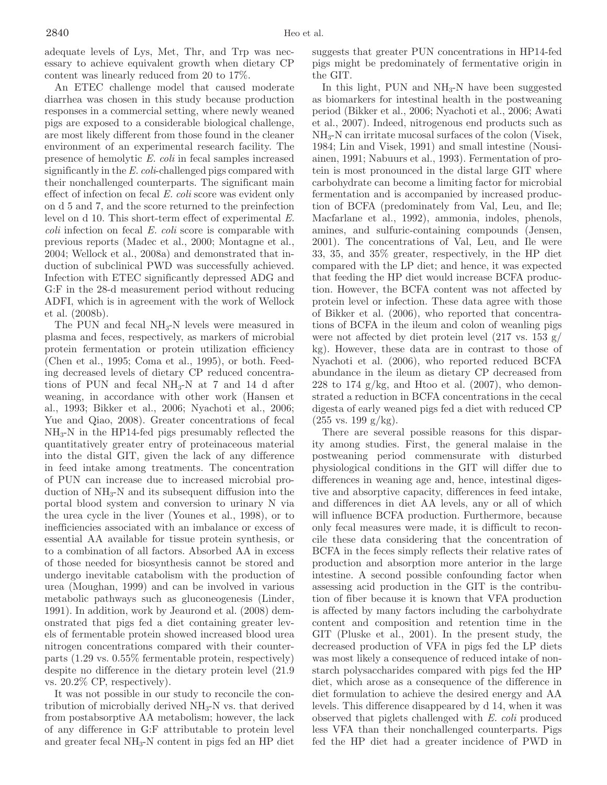adequate levels of Lys, Met, Thr, and Trp was necessary to achieve equivalent growth when dietary CP content was linearly reduced from 20 to 17%.

An ETEC challenge model that caused moderate diarrhea was chosen in this study because production responses in a commercial setting, where newly weaned pigs are exposed to a considerable biological challenge, are most likely different from those found in the cleaner environment of an experimental research facility. The presence of hemolytic *E. coli* in fecal samples increased significantly in the *E. coli*-challenged pigs compared with their nonchallenged counterparts. The significant main effect of infection on fecal *E. coli* score was evident only on d 5 and 7, and the score returned to the preinfection level on d 10. This short-term effect of experimental *E. coli* infection on fecal *E. coli* score is comparable with previous reports (Madec et al., 2000; Montagne et al., 2004; Wellock et al., 2008a) and demonstrated that induction of subclinical PWD was successfully achieved. Infection with ETEC significantly depressed ADG and G:F in the 28-d measurement period without reducing ADFI, which is in agreement with the work of Wellock et al. (2008b).

The PUN and fecal  $NH<sub>3</sub>-N$  levels were measured in plasma and feces, respectively, as markers of microbial protein fermentation or protein utilization efficiency (Chen et al., 1995; Coma et al., 1995), or both. Feeding decreased levels of dietary CP reduced concentrations of PUN and fecal  $NH_3-N$  at 7 and 14 d after weaning, in accordance with other work (Hansen et al., 1993; Bikker et al., 2006; Nyachoti et al., 2006; Yue and Qiao, 2008). Greater concentrations of fecal  $NH<sub>3</sub>-N$  in the HP14-fed pigs presumably reflected the quantitatively greater entry of proteinaceous material into the distal GIT, given the lack of any difference in feed intake among treatments. The concentration of PUN can increase due to increased microbial production of  $NH<sub>3</sub>-N$  and its subsequent diffusion into the portal blood system and conversion to urinary N via the urea cycle in the liver (Younes et al., 1998), or to inefficiencies associated with an imbalance or excess of essential AA available for tissue protein synthesis, or to a combination of all factors. Absorbed AA in excess of those needed for biosynthesis cannot be stored and undergo inevitable catabolism with the production of urea (Moughan, 1999) and can be involved in various metabolic pathways such as gluconeogenesis (Linder, 1991). In addition, work by Jeaurond et al. (2008) demonstrated that pigs fed a diet containing greater levels of fermentable protein showed increased blood urea nitrogen concentrations compared with their counterparts (1.29 vs. 0.55% fermentable protein, respectively) despite no difference in the dietary protein level (21.9 vs. 20.2% CP, respectively).

It was not possible in our study to reconcile the contribution of microbially derived  $NH<sub>3</sub>-N$  vs. that derived from postabsorptive AA metabolism; however, the lack of any difference in G:F attributable to protein level and greater fecal  $NH<sub>3</sub>-N$  content in pigs fed an HP diet

suggests that greater PUN concentrations in HP14-fed pigs might be predominately of fermentative origin in the GIT.

In this light, PUN and  $NH<sub>3</sub>-N$  have been suggested as biomarkers for intestinal health in the postweaning period (Bikker et al., 2006; Nyachoti et al., 2006; Awati et al., 2007). Indeed, nitrogenous end products such as  $NH<sub>3</sub>-N$  can irritate mucosal surfaces of the colon (Visek, 1984; Lin and Visek, 1991) and small intestine (Nousiainen, 1991; Nabuurs et al., 1993). Fermentation of protein is most pronounced in the distal large GIT where carbohydrate can become a limiting factor for microbial fermentation and is accompanied by increased production of BCFA (predominately from Val, Leu, and Ile; Macfarlane et al., 1992), ammonia, indoles, phenols, amines, and sulfuric-containing compounds (Jensen, 2001). The concentrations of Val, Leu, and Ile were 33, 35, and 35% greater, respectively, in the HP diet compared with the LP diet; and hence, it was expected that feeding the HP diet would increase BCFA production. However, the BCFA content was not affected by protein level or infection. These data agree with those of Bikker et al. (2006), who reported that concentrations of BCFA in the ileum and colon of weanling pigs were not affected by diet protein level  $(217 \text{ vs. } 153 \text{ g})$ kg). However, these data are in contrast to those of Nyachoti et al. (2006), who reported reduced BCFA abundance in the ileum as dietary CP decreased from  $228$  to 174 g/kg, and Htoo et al.  $(2007)$ , who demonstrated a reduction in BCFA concentrations in the cecal digesta of early weaned pigs fed a diet with reduced CP  $(255 \text{ vs. } 199 \text{ g/kg}).$ 

There are several possible reasons for this disparity among studies. First, the general malaise in the postweaning period commensurate with disturbed physiological conditions in the GIT will differ due to differences in weaning age and, hence, intestinal digestive and absorptive capacity, differences in feed intake, and differences in diet AA levels, any or all of which will influence BCFA production. Furthermore, because only fecal measures were made, it is difficult to reconcile these data considering that the concentration of BCFA in the feces simply reflects their relative rates of production and absorption more anterior in the large intestine. A second possible confounding factor when assessing acid production in the GIT is the contribution of fiber because it is known that VFA production is affected by many factors including the carbohydrate content and composition and retention time in the GIT (Pluske et al., 2001). In the present study, the decreased production of VFA in pigs fed the LP diets was most likely a consequence of reduced intake of nonstarch polysaccharides compared with pigs fed the HP diet, which arose as a consequence of the difference in diet formulation to achieve the desired energy and AA levels. This difference disappeared by d 14, when it was observed that piglets challenged with *E. coli* produced less VFA than their nonchallenged counterparts. Pigs fed the HP diet had a greater incidence of PWD in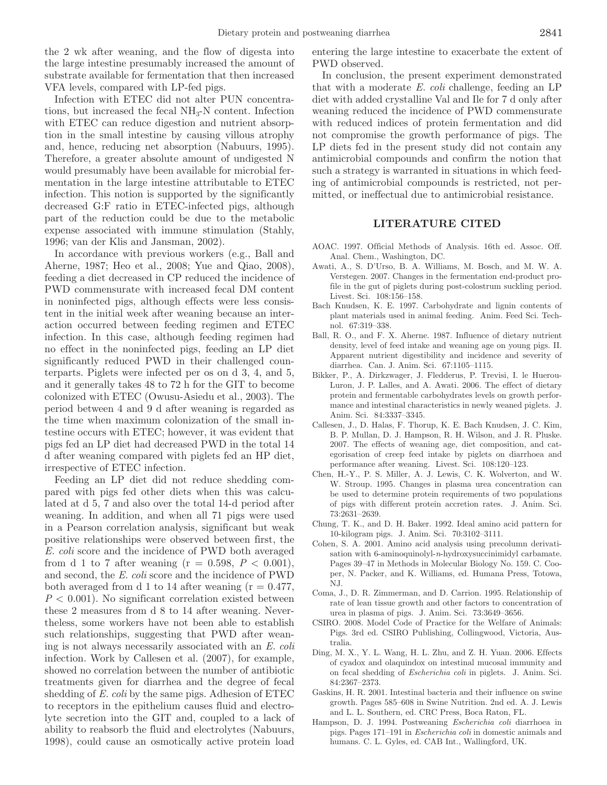the 2 wk after weaning, and the flow of digesta into the large intestine presumably increased the amount of substrate available for fermentation that then increased VFA levels, compared with LP-fed pigs.

Infection with ETEC did not alter PUN concentrations, but increased the fecal  $NH<sub>3</sub>-N$  content. Infection with ETEC can reduce digestion and nutrient absorption in the small intestine by causing villous atrophy and, hence, reducing net absorption (Nabuurs, 1995). Therefore, a greater absolute amount of undigested N would presumably have been available for microbial fermentation in the large intestine attributable to ETEC infection. This notion is supported by the significantly decreased G:F ratio in ETEC-infected pigs, although part of the reduction could be due to the metabolic expense associated with immune stimulation (Stahly, 1996; van der Klis and Jansman, 2002).

In accordance with previous workers (e.g., Ball and Aherne, 1987; Heo et al., 2008; Yue and Qiao, 2008), feeding a diet decreased in CP reduced the incidence of PWD commensurate with increased fecal DM content in noninfected pigs, although effects were less consistent in the initial week after weaning because an interaction occurred between feeding regimen and ETEC infection. In this case, although feeding regimen had no effect in the noninfected pigs, feeding an LP diet significantly reduced PWD in their challenged counterparts. Piglets were infected per os on d 3, 4, and 5, and it generally takes 48 to 72 h for the GIT to become colonized with ETEC (Owusu-Asiedu et al., 2003). The period between 4 and 9 d after weaning is regarded as the time when maximum colonization of the small intestine occurs with ETEC; however, it was evident that pigs fed an LP diet had decreased PWD in the total 14 d after weaning compared with piglets fed an HP diet, irrespective of ETEC infection.

Feeding an LP diet did not reduce shedding compared with pigs fed other diets when this was calculated at d 5, 7 and also over the total 14-d period after weaning. In addition, and when all 71 pigs were used in a Pearson correlation analysis, significant but weak positive relationships were observed between first, the *E. coli* score and the incidence of PWD both averaged from d 1 to 7 after weaning  $(r = 0.598, P < 0.001)$ , and second, the *E. coli* score and the incidence of PWD both averaged from d 1 to 14 after weaning  $(r = 0.477,$  $P < 0.001$ ). No significant correlation existed between these 2 measures from d 8 to 14 after weaning. Nevertheless, some workers have not been able to establish such relationships, suggesting that PWD after weaning is not always necessarily associated with an *E. coli* infection. Work by Callesen et al. (2007), for example, showed no correlation between the number of antibiotic treatments given for diarrhea and the degree of fecal shedding of *E. coli* by the same pigs. Adhesion of ETEC to receptors in the epithelium causes fluid and electrolyte secretion into the GIT and, coupled to a lack of ability to reabsorb the fluid and electrolytes (Nabuurs, 1998), could cause an osmotically active protein load entering the large intestine to exacerbate the extent of PWD observed.

In conclusion, the present experiment demonstrated that with a moderate *E. coli* challenge, feeding an LP diet with added crystalline Val and Ile for 7 d only after weaning reduced the incidence of PWD commensurate with reduced indices of protein fermentation and did not compromise the growth performance of pigs. The LP diets fed in the present study did not contain any antimicrobial compounds and confirm the notion that such a strategy is warranted in situations in which feeding of antimicrobial compounds is restricted, not permitted, or ineffectual due to antimicrobial resistance.

## **LITERATURE CITED**

- AOAC. 1997. Official Methods of Analysis. 16th ed. Assoc. Off. Anal. Chem., Washington, DC.
- Awati, A., S. D'Urso, B. A. Williams, M. Bosch, and M. W. A. Verstegen. 2007. Changes in the fermentation end-product profile in the gut of piglets during post-colostrum suckling period. Livest. Sci. 108:156–158.
- Bach Knudsen, K. E. 1997. Carbohydrate and lignin contents of plant materials used in animal feeding. Anim. Feed Sci. Technol. 67:319–338.
- Ball, R. O., and F. X. Aherne. 1987. Influence of dietary nutrient density, level of feed intake and weaning age on young pigs. II. Apparent nutrient digestibility and incidence and severity of diarrhea. Can. J. Anim. Sci. 67:1105–1115.
- Bikker, P., A. Dirkzwager, J. Fledderus, P. Trevisi, I. le Huerou-Luron, J. P. Lalles, and A. Awati. 2006. The effect of dietary protein and fermentable carbohydrates levels on growth performance and intestinal characteristics in newly weaned piglets. J. Anim. Sci. 84:3337–3345.
- Callesen, J., D. Halas, F. Thorup, K. E. Bach Knudsen, J. C. Kim, B. P. Mullan, D. J. Hampson, R. H. Wilson, and J. R. Pluske. 2007. The effects of weaning age, diet composition, and categorisation of creep feed intake by piglets on diarrhoea and performance after weaning. Livest. Sci. 108:120–123.
- Chen, H.-Y., P. S. Miller, A. J. Lewis, C. K. Wolverton, and W. W. Stroup. 1995. Changes in plasma urea concentration can be used to determine protein requirements of two populations of pigs with different protein accretion rates. J. Anim. Sci. 73:2631–2639.
- Chung, T. K., and D. H. Baker. 1992. Ideal amino acid pattern for 10-kilogram pigs. J. Anim. Sci. 70:3102–3111.
- Cohen, S. A. 2001. Amino acid analysis using precolumn derivatisation with 6-aminoquinolyl-*n*-hydroxysuccinimidyl carbamate. Pages 39–47 in Methods in Molecular Biology No. 159. C. Cooper, N. Packer, and K. Williams, ed. Humana Press, Totowa, NJ.
- Coma, J., D. R. Zimmerman, and D. Carrion. 1995. Relationship of rate of lean tissue growth and other factors to concentration of urea in plasma of pigs. J. Anim. Sci. 73:3649–3656.
- CSIRO. 2008. Model Code of Practice for the Welfare of Animals: Pigs. 3rd ed. CSIRO Publishing, Collingwood, Victoria, Australia.
- Ding, M. X., Y. L. Wang, H. L. Zhu, and Z. H. Yuan. 2006. Effects of cyadox and olaquindox on intestinal mucosal immunity and on fecal shedding of *Escherichia coli* in piglets. J. Anim. Sci. 84:2367–2373.
- Gaskins, H. R. 2001. Intestinal bacteria and their influence on swine growth. Pages 585–608 in Swine Nutrition. 2nd ed. A. J. Lewis and L. L. Southern, ed. CRC Press, Boca Raton, FL.
- Hampson, D. J. 1994. Postweaning *Escherichia coli* diarrhoea in pigs. Pages 171–191 in *Escherichia coli* in domestic animals and humans. C. L. Gyles, ed. CAB Int., Wallingford, UK.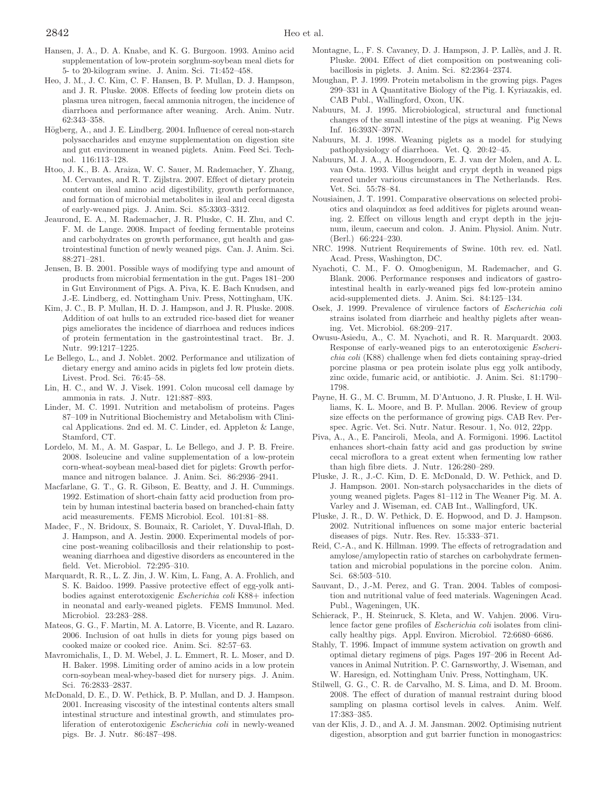- Hansen, J. A., D. A. Knabe, and K. G. Burgoon. 1993. Amino acid supplementation of low-protein sorghum-soybean meal diets for 5- to 20-kilogram swine. J. Anim. Sci. 71:452–458.
- Heo, J. M., J. C. Kim, C. F. Hansen, B. P. Mullan, D. J. Hampson, and J. R. Pluske. 2008. Effects of feeding low protein diets on plasma urea nitrogen, faecal ammonia nitrogen, the incidence of diarrhoea and performance after weaning. Arch. Anim. Nutr. 62:343–358.
- Högberg, A., and J. E. Lindberg. 2004. Influence of cereal non-starch polysaccharides and enzyme supplementation on digestion site and gut environment in weaned piglets. Anim. Feed Sci. Technol. 116:113–128.
- Htoo, J. K., B. A. Araiza, W. C. Sauer, M. Rademacher, Y. Zhang, M. Cervantes, and R. T. Zijlstra. 2007. Effect of dietary protein content on ileal amino acid digestibility, growth performance, and formation of microbial metabolites in ileal and cecal digesta of early-weaned pigs. J. Anim. Sci. 85:3303–3312.
- Jeaurond, E. A., M. Rademacher, J. R. Pluske, C. H. Zhu, and C. F. M. de Lange. 2008. Impact of feeding fermentable proteins and carbohydrates on growth performance, gut health and gastrointestinal function of newly weaned pigs. Can. J. Anim. Sci. 88:271–281.
- Jensen, B. B. 2001. Possible ways of modifying type and amount of products from microbial fermentation in the gut. Pages 181–200 in Gut Environment of Pigs. A. Piva, K. E. Bach Knudsen, and J.-E. Lindberg, ed. Nottingham Univ. Press, Nottingham, UK.
- Kim, J. C., B. P. Mullan, H. D. J. Hampson, and J. R. Pluske. 2008. Addition of oat hulls to an extruded rice-based diet for weaner pigs ameliorates the incidence of diarrhoea and reduces indices of protein fermentation in the gastrointestinal tract. Br. J. Nutr. 99:1217–1225.
- Le Bellego, L., and J. Noblet. 2002. Performance and utilization of dietary energy and amino acids in piglets fed low protein diets. Livest. Prod. Sci. 76:45–58.
- Lin, H. C., and W. J. Visek. 1991. Colon mucosal cell damage by ammonia in rats. J. Nutr. 121:887–893.
- Linder, M. C. 1991. Nutrition and metabolism of proteins. Pages 87–109 in Nutritional Biochemistry and Metabolism with Clinical Applications. 2nd ed. M. C. Linder, ed. Appleton & Lange, Stamford, CT.
- Lordelo, M. M., A. M. Gaspar, L. Le Bellego, and J. P. B. Freire. 2008. Isoleucine and valine supplementation of a low-protein corn-wheat-soybean meal-based diet for piglets: Growth performance and nitrogen balance. J. Anim. Sci. 86:2936–2941.
- Macfarlane, G. T., G. R. Gibson, E. Beatty, and J. H. Cummings. 1992. Estimation of short-chain fatty acid production from protein by human intestinal bacteria based on branched-chain fatty acid measurements. FEMS Microbiol. Ecol. 101:81–88.
- Madec, F., N. Bridoux, S. Bounaix, R. Cariolet, Y. Duval-Iflah, D. J. Hampson, and A. Jestin. 2000. Experimental models of porcine post-weaning colibacillosis and their relationship to postweaning diarrhoea and digestive disorders as encountered in the field. Vet. Microbiol. 72:295–310.
- Marquardt, R. R., L. Z. Jin, J. W. Kim, L. Fang, A. A. Frohlich, and S. K. Baidoo. 1999. Passive protective effect of egg-yolk antibodies against enterotoxigenic *Escherichia coli* K88+ infection in neonatal and early-weaned piglets. FEMS Immunol. Med. Microbiol. 23:283–288.
- Mateos, G. G., F. Martin, M. A. Latorre, B. Vicente, and R. Lazaro. 2006. Inclusion of oat hulls in diets for young pigs based on cooked maize or cooked rice. Anim. Sci. 82:57–63.
- Mavromichalis, I., D. M. Webel, J. L. Emmert, R. L. Moser, and D. H. Baker. 1998. Limiting order of amino acids in a low protein corn-soybean meal-whey-based diet for nursery pigs. J. Anim. Sci. 76:2833–2837.
- McDonald, D. E., D. W. Pethick, B. P. Mullan, and D. J. Hampson. 2001. Increasing viscosity of the intestinal contents alters small intestinal structure and intestinal growth, and stimulates proliferation of enterotoxigenic *Escherichia coli* in newly-weaned pigs. Br. J. Nutr. 86:487–498.
- Montagne, L., F. S. Cavaney, D. J. Hampson, J. P. Lallès, and J. R. Pluske. 2004. Effect of diet composition on postweaning colibacillosis in piglets. J. Anim. Sci. 82:2364–2374.
- Moughan, P. J. 1999. Protein metabolism in the growing pigs. Pages 299–331 in A Quantitative Biology of the Pig. I. Kyriazakis, ed. CAB Publ., Wallingford, Oxon, UK.
- Nabuurs, M. J. 1995. Microbiological, structural and functional changes of the small intestine of the pigs at weaning. Pig News Inf. 16:393N–397N.
- Nabuurs, M. J. 1998. Weaning piglets as a model for studying pathophysiology of diarrhoea. Vet. Q. 20:42–45.
- Nabuurs, M. J. A., A. Hoogendoorn, E. J. van der Molen, and A. L. van Osta. 1993. Villus height and crypt depth in weaned pigs reared under various circumstances in The Netherlands. Res. Vet. Sci. 55:78–84.
- Nousiainen, J. T. 1991. Comparative observations on selected probiotics and olaquindox as feed additives for piglets around weaning. 2. Effect on villous length and crypt depth in the jejunum, ileum, caecum and colon. J. Anim. Physiol. Anim. Nutr. (Berl.) 66:224–230.
- NRC. 1998. Nutrient Requirements of Swine. 10th rev. ed. Natl. Acad. Press, Washington, DC.
- Nyachoti, C. M., F. O. Omogbenigun, M. Rademacher, and G. Blank. 2006. Performance responses and indicators of gastrointestinal health in early-weaned pigs fed low-protein amino acid-supplemented diets. J. Anim. Sci. 84:125–134.
- Osek, J. 1999. Prevalence of virulence factors of *Escherichia coli* strains isolated from diarrheic and healthy piglets after weaning. Vet. Microbiol. 68:209–217.
- Owusu-Asiedu, A., C. M. Nyachoti, and R. R. Marquardt. 2003. Response of early-weaned pigs to an enterotoxigenic *Escherichia coli* (K88) challenge when fed diets containing spray-dried porcine plasma or pea protein isolate plus egg yolk antibody, zinc oxide, fumaric acid, or antibiotic. J. Anim. Sci. 81:1790– 1798.
- Payne, H. G., M. C. Brumm, M. D'Antuono, J. R. Pluske, I. H. Williams, K. L. Moore, and B. P. Mullan. 2006. Review of group size effects on the performance of growing pigs. CAB Rev. Perspec. Agric. Vet. Sci. Nutr. Natur. Resour. 1, No. 012, 22pp.
- Piva, A., A., E. Panciroli, Meola, and A. Formigoni. 1996. Lactitol enhances short-chain fatty acid and gas production by swine cecal microflora to a great extent when fermenting low rather than high fibre diets. J. Nutr. 126:280–289.
- Pluske, J. R., J.-C. Kim, D. E. McDonald, D. W. Pethick, and D. J. Hampson. 2001. Non-starch polysaccharides in the diets of young weaned piglets. Pages 81–112 in The Weaner Pig. M. A. Varley and J. Wiseman, ed. CAB Int., Wallingford, UK.
- Pluske, J. R., D. W. Pethick, D. E. Hopwood, and D. J. Hampson. 2002. Nutritional influences on some major enteric bacterial diseases of pigs. Nutr. Res. Rev. 15:333–371.
- Reid, C.-A., and K. Hillman. 1999. The effects of retrogradation and amylose/amylopectin ratio of starches on carbohydrate fermentation and microbial populations in the porcine colon. Anim. Sci. 68:503–510.
- Sauvant, D., J.-M. Perez, and G. Tran. 2004. Tables of composition and nutritional value of feed materials. Wageningen Acad. Publ., Wageningen, UK.
- Schierack, P., H. Steinruck, S. Kleta, and W. Vahjen. 2006. Virulence factor gene profiles of *Escherichia coli* isolates from clinically healthy pigs. Appl. Environ. Microbiol. 72:6680–6686.
- Stahly, T. 1996. Impact of immune system activation on growth and optimal dietary regimens of pigs. Pages 197–206 in Recent Advances in Animal Nutrition. P. C. Garnsworthy, J. Wiseman, and W. Haresign, ed. Nottingham Univ. Press, Nottingham, UK.
- Stilwell, G. G., C. R. de Carvalho, M. S. Lima, and D. M. Broom. 2008. The effect of duration of manual restraint during blood sampling on plasma cortisol levels in calves. Anim. Welf. 17:383–385.
- van der Klis, J. D., and A. J. M. Jansman. 2002. Optimising nutrient digestion, absorption and gut barrier function in monogastrics: